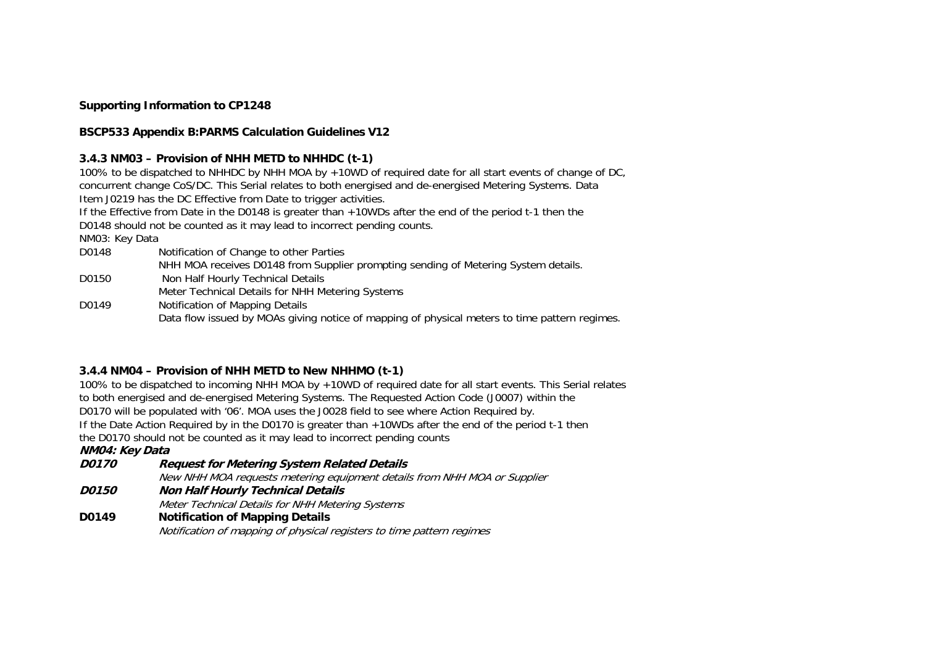## **Supporting Information to CP1248**

## **BSCP533 Appendix B:PARMS Calculation Guidelines V12**

#### **3.4.3 NM03 – Provision of NHH METD to NHHDC (t-1)**

100% to be dispatched to NHHDC by NHH MOA by +10WD of required date for all start events of change of DC, concurrent change CoS/DC. This Serial relates to both energised and de-energised Metering Systems. Data Item J0219 has the DC Effective from Date to trigger activities.

If the Effective from Date in the D0148 is greater than +10WDs after the end of the period t-1 then the D0148 should not be counted as it may lead to incorrect pending counts.

NM03: Key Data

- D0148 Notification of Change to other Parties
	- NHH MOA receives D0148 from Supplier prompting sending of Metering System details.
- D0150 Non Half Hourly Technical Details Meter Technical Details for NHH Metering Systems
- D0149 Notification of Mapping Details Data flow issued by MOAs giving notice of mapping of physical meters to time pattern regimes.

# **3.4.4 NM04 – Provision of NHH METD to New NHHMO (t-1)**

100% to be dispatched to incoming NHH MOA by +10WD of required date for all start events. This Serial relates to both energised and de-energised Metering Systems. The Requested Action Code (J0007) within the D0170 will be populated with '06'. MOA uses the J0028 field to see where Action Required by. If the Date Action Required by in the D0170 is greater than +10WDs after the end of the period t-1 then the D0170 should not be counted as it may lead to incorrect pending counts

**NM04: Key Data**

**D0170 Request for Metering System Related Details** 

New NHH MOA requests metering equipment details from NHH MOA or Supplier

- **D0150 Non Half Hourly Technical Details**  Meter Technical Details for NHH Metering Systems
- **D0149 Notification of Mapping Details**

Notification of mapping of physical registers to time pattern regimes